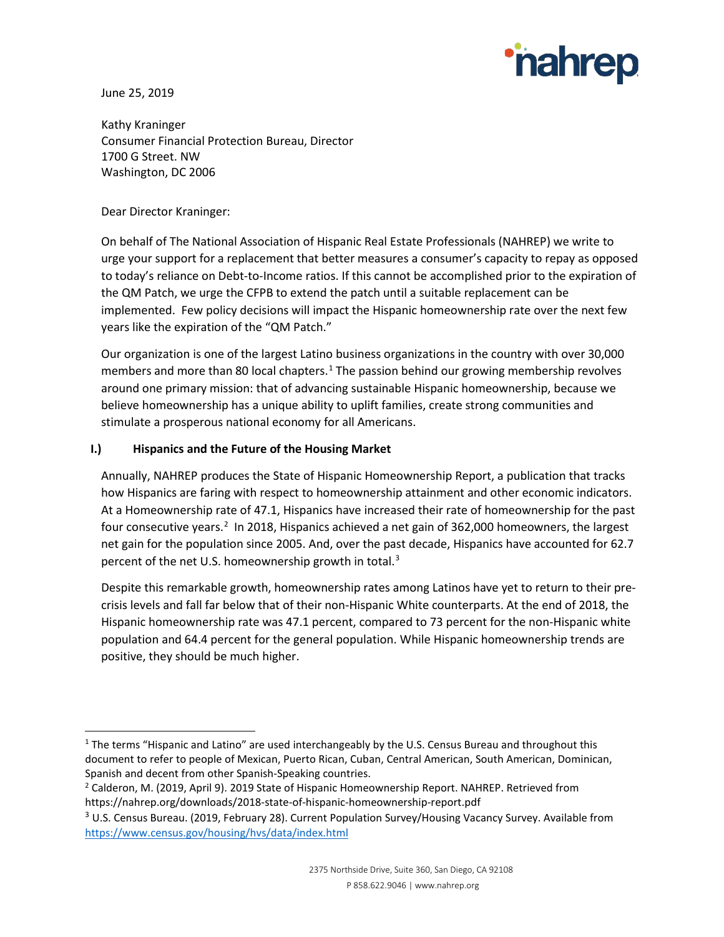

June 25, 2019

Kathy Kraninger Consumer Financial Protection Bureau, Director 1700 G Street. NW Washington, DC 2006

Dear Director Kraninger:

On behalf of The National Association of Hispanic Real Estate Professionals (NAHREP) we write to urge your support for a replacement that better measures a consumer's capacity to repay as opposed to today's reliance on Debt-to-Income ratios. If this cannot be accomplished prior to the expiration of the QM Patch, we urge the CFPB to extend the patch until a suitable replacement can be implemented. Few policy decisions will impact the Hispanic homeownership rate over the next few years like the expiration of the "QM Patch."

Our organization is one of the largest Latino business organizations in the country with over 30,000 members and more than 80 local chapters.<sup>[1](#page-0-0)</sup> The passion behind our growing membership revolves around one primary mission: that of advancing sustainable Hispanic homeownership, because we believe homeownership has a unique ability to uplift families, create strong communities and stimulate a prosperous national economy for all Americans.

## **I.) Hispanics and the Future of the Housing Market**

Annually, NAHREP produces the State of Hispanic Homeownership Report, a publication that tracks how Hispanics are faring with respect to homeownership attainment and other economic indicators. At a Homeownership rate of 47.1, Hispanics have increased their rate of homeownership for the past four consecutive years.<sup>[2](#page-0-1)</sup> In 2018, Hispanics achieved a net gain of 362,000 homeowners, the largest net gain for the population since 2005. And, over the past decade, Hispanics have accounted for 62.7 percent of the net U.S. homeownership growth in total.<sup>[3](#page-0-2)</sup>

Despite this remarkable growth, homeownership rates among Latinos have yet to return to their precrisis levels and fall far below that of their non-Hispanic White counterparts. At the end of 2018, the Hispanic homeownership rate was 47.1 percent, compared to 73 percent for the non-Hispanic white population and 64.4 percent for the general population. While Hispanic homeownership trends are positive, they should be much higher.

<span id="page-0-0"></span><sup>&</sup>lt;sup>1</sup> The terms "Hispanic and Latino" are used interchangeably by the U.S. Census Bureau and throughout this document to refer to people of Mexican, Puerto Rican, Cuban, Central American, South American, Dominican, Spanish and decent from other Spanish-Speaking countries.<br><sup>2</sup> Calderon, M. (2019, April 9). 2019 State of Hispanic Homeownership Report. NAHREP. Retrieved from

<span id="page-0-1"></span>https://nahrep.org/downloads/2018-state-of-hispanic-homeownership-report.pdf

<span id="page-0-2"></span><sup>3</sup> U.S. Census Bureau. (2019, February 28). Current Population Survey/Housing Vacancy Survey. Available from <https://www.census.gov/housing/hvs/data/index.html>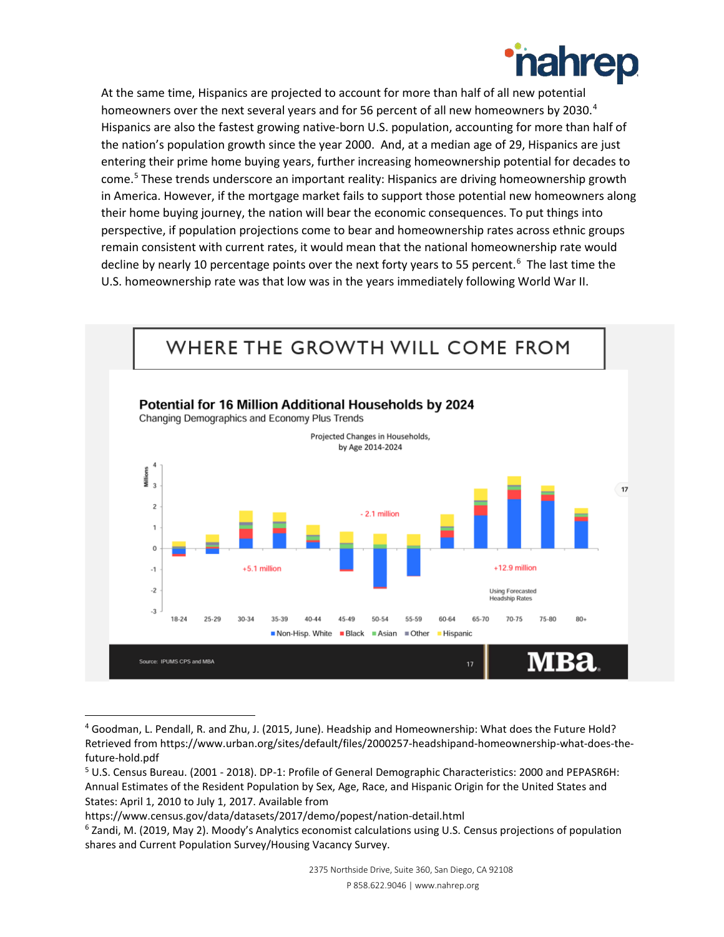

At the same time, Hispanics are projected to account for more than half of all new potential homeowners over the next several years and for 56 percent of all new homeowners by 2030.<sup>[4](#page-1-0)</sup> Hispanics are also the fastest growing native-born U.S. population, accounting for more than half of the nation's population growth since the year 2000. And, at a median age of 29, Hispanics are just entering their prime home buying years, further increasing homeownership potential for decades to come.[5](#page-1-1) These trends underscore an important reality: Hispanics are driving homeownership growth in America. However, if the mortgage market fails to support those potential new homeowners along their home buying journey, the nation will bear the economic consequences. To put things into perspective, if population projections come to bear and homeownership rates across ethnic groups remain consistent with current rates, it would mean that the national homeownership rate would decline by nearly 10 percentage points over the next forty years to 55 percent.<sup>[6](#page-1-2)</sup> The last time the U.S. homeownership rate was that low was in the years immediately following World War II.



<span id="page-1-0"></span> <sup>4</sup> Goodman, L. Pendall, R. and Zhu, J. (2015, June). Headship and Homeownership: What does the Future Hold? Retrieved from https://www.urban.org/sites/default/files/2000257-headshipand-homeownership-what-does-thefuture-hold.pdf

<span id="page-1-1"></span><sup>5</sup> U.S. Census Bureau. (2001 - 2018). DP-1: Profile of General Demographic Characteristics: 2000 and PEPASR6H: Annual Estimates of the Resident Population by Sex, Age, Race, and Hispanic Origin for the United States and States: April 1, 2010 to July 1, 2017. Available from

https://www.census.gov/data/datasets/2017/demo/popest/nation-detail.html

<span id="page-1-2"></span><sup>6</sup> Zandi, M. (2019, May 2). Moody's Analytics economist calculations using U.S. Census projections of population shares and Current Population Survey/Housing Vacancy Survey.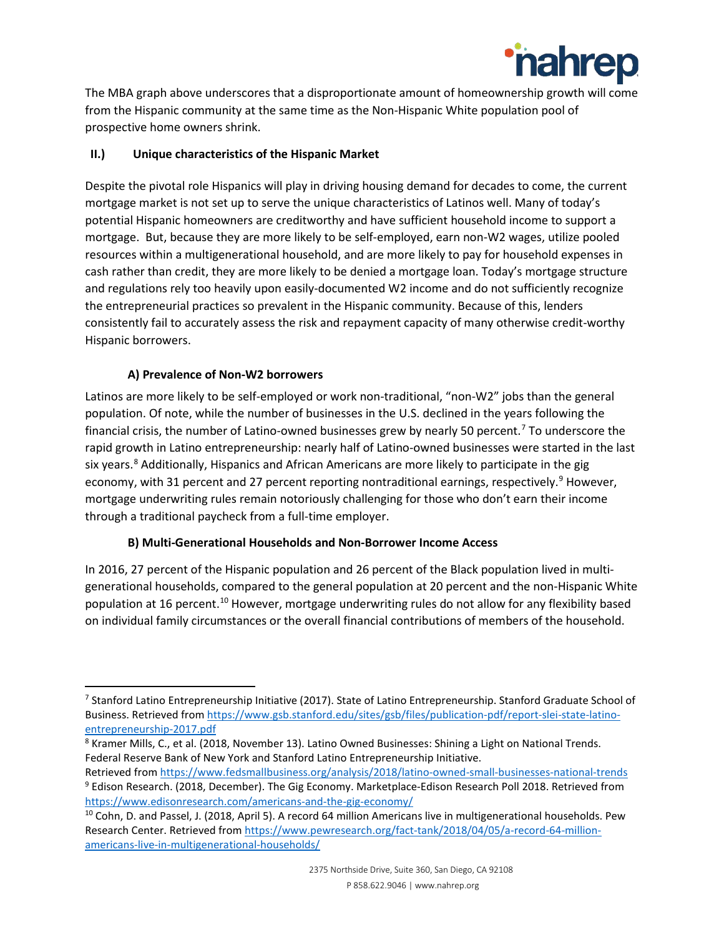

The MBA graph above underscores that a disproportionate amount of homeownership growth will come from the Hispanic community at the same time as the Non-Hispanic White population pool of prospective home owners shrink.

## **II.) Unique characteristics of the Hispanic Market**

Despite the pivotal role Hispanics will play in driving housing demand for decades to come, the current mortgage market is not set up to serve the unique characteristics of Latinos well. Many of today's potential Hispanic homeowners are creditworthy and have sufficient household income to support a mortgage. But, because they are more likely to be self-employed, earn non-W2 wages, utilize pooled resources within a multigenerational household, and are more likely to pay for household expenses in cash rather than credit, they are more likely to be denied a mortgage loan. Today's mortgage structure and regulations rely too heavily upon easily-documented W2 income and do not sufficiently recognize the entrepreneurial practices so prevalent in the Hispanic community. Because of this, lenders consistently fail to accurately assess the risk and repayment capacity of many otherwise credit-worthy Hispanic borrowers.

# **A) Prevalence of Non-W2 borrowers**

Latinos are more likely to be self-employed or work non-traditional, "non-W2" jobs than the general population. Of note, while the number of businesses in the U.S. declined in the years following the financial crisis, the number of Latino-owned businesses grew by nearly 50 percent.[7](#page-2-0) To underscore the rapid growth in Latino entrepreneurship: nearly half of Latino-owned businesses were started in the last six years.<sup>[8](#page-2-1)</sup> Additionally, Hispanics and African Americans are more likely to participate in the gig economy, with 31 percent and 27 percent reporting nontraditional earnings, respectively.<sup>[9](#page-2-2)</sup> However, mortgage underwriting rules remain notoriously challenging for those who don't earn their income through a traditional paycheck from a full-time employer.

## **B) Multi-Generational Households and Non-Borrower Income Access**

In 2016, 27 percent of the Hispanic population and 26 percent of the Black population lived in multigenerational households, compared to the general population at 20 percent and the non-Hispanic White population at 16 percent.[10](#page-2-3) However, mortgage underwriting rules do not allow for any flexibility based on individual family circumstances or the overall financial contributions of members of the household.

<span id="page-2-0"></span><sup>&</sup>lt;sup>7</sup> Stanford Latino Entrepreneurship Initiative (2017). State of Latino Entrepreneurship. Stanford Graduate School of Business. Retrieved from [https://www.gsb.stanford.edu/sites/gsb/files/publication-pdf/report-slei-state-latino](https://www.gsb.stanford.edu/sites/gsb/files/publication-pdf/report-slei-state-latino-entrepreneurship-2017.pdf)[entrepreneurship-2017.pdf](https://www.gsb.stanford.edu/sites/gsb/files/publication-pdf/report-slei-state-latino-entrepreneurship-2017.pdf)

<span id="page-2-1"></span><sup>8</sup> Kramer Mills, C., et al. (2018, November 13). Latino Owned Businesses: Shining a Light on National Trends. Federal Reserve Bank of New York and Stanford Latino Entrepreneurship Initiative.

<span id="page-2-2"></span>Retrieved fro[m https://www.fedsmallbusiness.org/analysis/2018/latino-owned-small-businesses-national-trends](https://www.fedsmallbusiness.org/analysis/2018/latino-owned-small-businesses-national-trends) <sup>9</sup> Edison Research. (2018, December). The Gig Economy. Marketplace-Edison Research Poll 2018. Retrieved from <https://www.edisonresearch.com/americans-and-the-gig-economy/>

<span id="page-2-3"></span><sup>&</sup>lt;sup>10</sup> Cohn, D. and Passel, J. (2018, April 5). A record 64 million Americans live in multigenerational households. Pew Research Center. Retrieved from [https://www.pewresearch.org/fact-tank/2018/04/05/a-record-64-million](https://www.pewresearch.org/fact-tank/2018/04/05/a-record-64-million-americans-live-in-multigenerational-households/)[americans-live-in-multigenerational-households/](https://www.pewresearch.org/fact-tank/2018/04/05/a-record-64-million-americans-live-in-multigenerational-households/)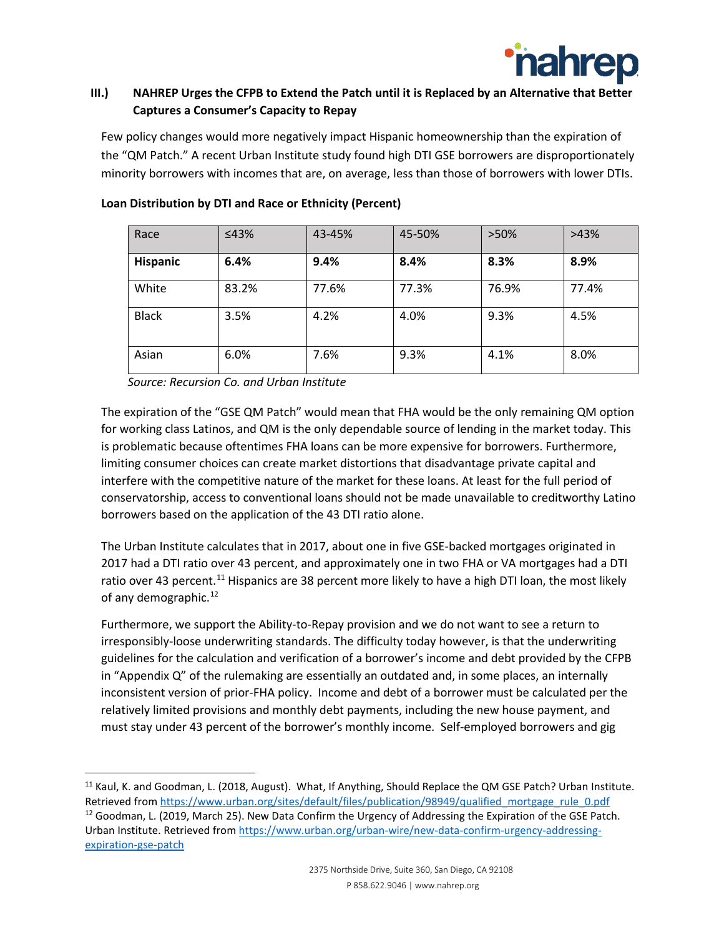

# **III.) NAHREP Urges the CFPB to Extend the Patch until it is Replaced by an Alternative that Better Captures a Consumer's Capacity to Repay**

Few policy changes would more negatively impact Hispanic homeownership than the expiration of the "QM Patch." A recent Urban Institute study found high DTI GSE borrowers are disproportionately minority borrowers with incomes that are, on average, less than those of borrowers with lower DTIs.

| Race            | $\leq 43\%$ | 43-45% | 45-50% | >50%  | >43%  |
|-----------------|-------------|--------|--------|-------|-------|
| <b>Hispanic</b> | 6.4%        | 9.4%   | 8.4%   | 8.3%  | 8.9%  |
| White           | 83.2%       | 77.6%  | 77.3%  | 76.9% | 77.4% |
| <b>Black</b>    | 3.5%        | 4.2%   | 4.0%   | 9.3%  | 4.5%  |
| Asian           | 6.0%        | 7.6%   | 9.3%   | 4.1%  | 8.0%  |

#### **Loan Distribution by DTI and Race or Ethnicity (Percent)**

*Source: Recursion Co. and Urban Institute*

The expiration of the "GSE QM Patch" would mean that FHA would be the only remaining QM option for working class Latinos, and QM is the only dependable source of lending in the market today. This is problematic because oftentimes FHA loans can be more expensive for borrowers. Furthermore, limiting consumer choices can create market distortions that disadvantage private capital and interfere with the competitive nature of the market for these loans. At least for the full period of conservatorship, access to conventional loans should not be made unavailable to creditworthy Latino borrowers based on the application of the 43 DTI ratio alone.

The Urban Institute calculates that in 2017, about one in five GSE-backed mortgages originated in 2017 had a DTI ratio over 43 percent, and approximately one in two FHA or VA mortgages had a DTI ratio over 43 percent.<sup>[11](#page-3-0)</sup> Hispanics are 38 percent more likely to have a high DTI loan, the most likely of any demographic.<sup>[12](#page-3-1)</sup>

Furthermore, we support the Ability-to-Repay provision and we do not want to see a return to irresponsibly-loose underwriting standards. The difficulty today however, is that the underwriting guidelines for the calculation and verification of a borrower's income and debt provided by the CFPB in "Appendix Q" of the rulemaking are essentially an outdated and, in some places, an internally inconsistent version of prior-FHA policy. Income and debt of a borrower must be calculated per the relatively limited provisions and monthly debt payments, including the new house payment, and must stay under 43 percent of the borrower's monthly income. Self-employed borrowers and gig

<span id="page-3-1"></span><span id="page-3-0"></span><sup>&</sup>lt;sup>11</sup> Kaul, K. and Goodman, L. (2018, August). What, If Anything, Should Replace the QM GSE Patch? Urban Institute. Retrieved fro[m https://www.urban.org/sites/default/files/publication/98949/qualified\\_mortgage\\_rule\\_0.pdf](https://www.urban.org/sites/default/files/publication/98949/qualified_mortgage_rule_0.pdf) <sup>12</sup> Goodman, L. (2019, March 25). New Data Confirm the Urgency of Addressing the Expiration of the GSE Patch. Urban Institute. Retrieved from [https://www.urban.org/urban-wire/new-data-confirm-urgency-addressing](https://www.urban.org/urban-wire/new-data-confirm-urgency-addressing-expiration-gse-patch)[expiration-gse-patch](https://www.urban.org/urban-wire/new-data-confirm-urgency-addressing-expiration-gse-patch)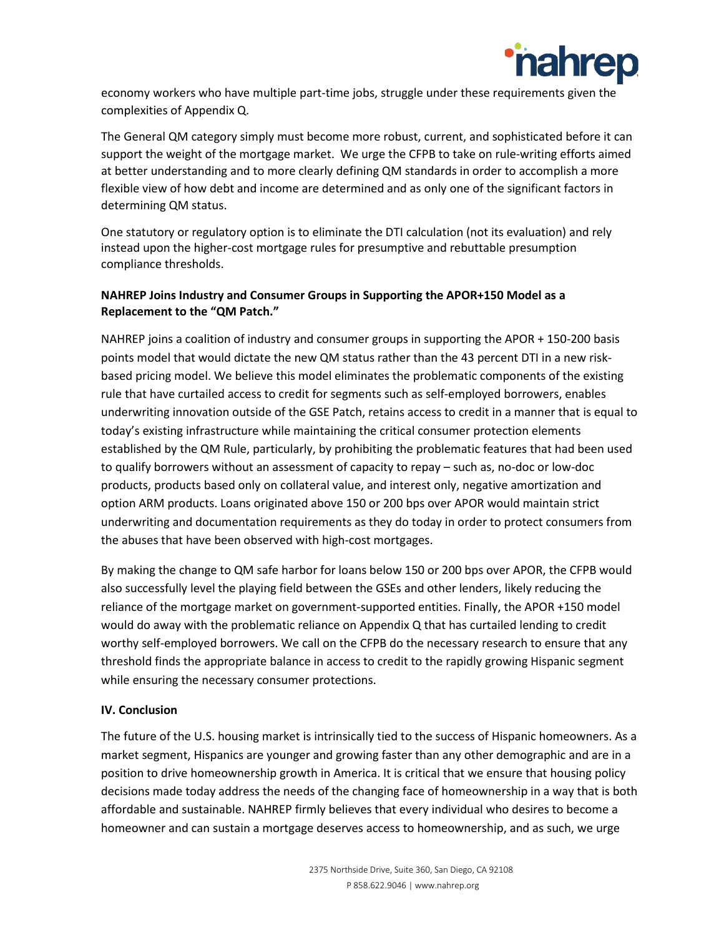

economy workers who have multiple part-time jobs, struggle under these requirements given the complexities of Appendix Q.

The General QM category simply must become more robust, current, and sophisticated before it can support the weight of the mortgage market. We urge the CFPB to take on rule-writing efforts aimed at better understanding and to more clearly defining QM standards in order to accomplish a more flexible view of how debt and income are determined and as only one of the significant factors in determining QM status.

One statutory or regulatory option is to eliminate the DTI calculation (not its evaluation) and rely instead upon the higher-cost mortgage rules for presumptive and rebuttable presumption compliance thresholds.

## **NAHREP Joins Industry and Consumer Groups in Supporting the APOR+150 Model as a Replacement to the "QM Patch."**

NAHREP joins a coalition of industry and consumer groups in supporting the APOR + 150-200 basis points model that would dictate the new QM status rather than the 43 percent DTI in a new riskbased pricing model. We believe this model eliminates the problematic components of the existing rule that have curtailed access to credit for segments such as self-employed borrowers, enables underwriting innovation outside of the GSE Patch, retains access to credit in a manner that is equal to today's existing infrastructure while maintaining the critical consumer protection elements established by the QM Rule, particularly, by prohibiting the problematic features that had been used to qualify borrowers without an assessment of capacity to repay – such as, no-doc or low-doc products, products based only on collateral value, and interest only, negative amortization and option ARM products. Loans originated above 150 or 200 bps over APOR would maintain strict underwriting and documentation requirements as they do today in order to protect consumers from the abuses that have been observed with high-cost mortgages.

By making the change to QM safe harbor for loans below 150 or 200 bps over APOR, the CFPB would also successfully level the playing field between the GSEs and other lenders, likely reducing the reliance of the mortgage market on government-supported entities. Finally, the APOR +150 model would do away with the problematic reliance on Appendix Q that has curtailed lending to credit worthy self-employed borrowers. We call on the CFPB do the necessary research to ensure that any threshold finds the appropriate balance in access to credit to the rapidly growing Hispanic segment while ensuring the necessary consumer protections.

#### **IV. Conclusion**

The future of the U.S. housing market is intrinsically tied to the success of Hispanic homeowners. As a market segment, Hispanics are younger and growing faster than any other demographic and are in a position to drive homeownership growth in America. It is critical that we ensure that housing policy decisions made today address the needs of the changing face of homeownership in a way that is both affordable and sustainable. NAHREP firmly believes that every individual who desires to become a homeowner and can sustain a mortgage deserves access to homeownership, and as such, we urge